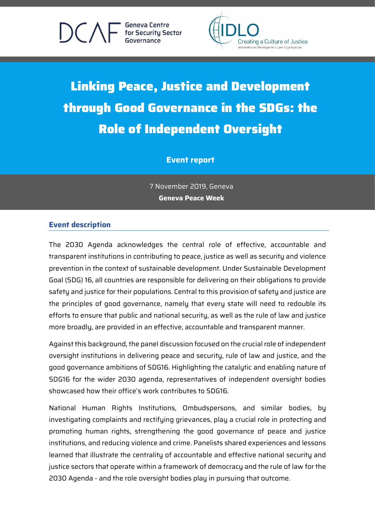**Geneva Centre** for Security Sector



# Linking Peace, Justice and Development through Good Governance in the SDGs: the Role of Independent Oversight

# **Event report**

7 November 2019, Geneva **Geneva Peace Week**

# **Event description**

The 2030 Agenda acknowledges the central role of effective, accountable and transparent institutions in contributing to peace, justice as well as security and violence prevention in the context of sustainable development. Under Sustainable Development Goal (SDG) 16, all countries are responsible for delivering on their obligations to provide safety and justice for their populations. Central to this provision of safety and justice are the principles of good governance, namely that every state will need to redouble its efforts to ensure that public and national security, as well as the rule of law and justice more broadly, are provided in an effective, accountable and transparent manner.

Against this background, the panel discussion focused on the crucial role of independent oversight institutions in delivering peace and security, rule of law and justice, and the good governance ambitions of SDG16. Highlighting the catalytic and enabling nature of SDG16 for the wider 2030 agenda, representatives of independent oversight bodies showcased how their office's work contributes to SDG16.

National Human Rights Institutions, Ombudspersons, and similar bodies, by investigating complaints and rectifying grievances, play a crucial role in protecting and promoting human rights, strengthening the good governance of peace and justice institutions, and reducing violence and crime. Panelists shared experiences and lessons learned that illustrate the centrality of accountable and effective national security and justice sectors that operate within a framework of democracy and the rule of law for the 2030 Agenda - and the role oversight bodies play in pursuing that outcome.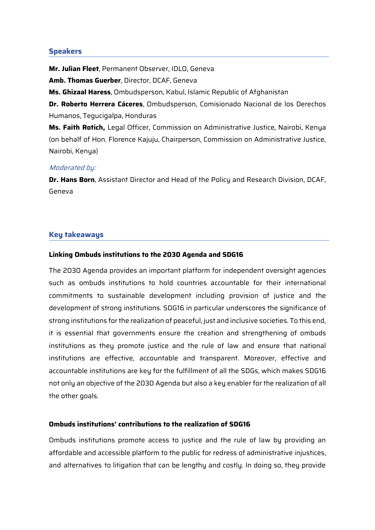## **Speakers**

**Mr. Julian Fleet**, Permanent Observer, IDLO, Geneva **Amb. Thomas Guerber**, Director, DCAF, Geneva **Ms. Ghizaal Haress**, Ombudsperson, Kabul, Islamic Republic of Afghanistan **Dr. Roberto Herrera Cáceres**, Ombudsperson, Comisionado Nacional de los Derechos Humanos, Tegucigalpa, Honduras **Ms. Faith Rotich,** Legal Officer, Commission on Administrative Justice, Nairobi, Kenya (on behalf of Hon. Florence Kajuju, Chairperson, Commission on Administrative Justice,

Nairobi, Kenya)

#### Moderated by:

**Dr. Hans Born**, Assistant Director and Head of the Policy and Research Division, DCAF, Geneva

#### **Key takeaways**

#### **Linking Ombuds institutions to the 2030 Agenda and SDG16**

The 2030 Agenda provides an important platform for independent oversight agencies such as ombuds institutions to hold countries accountable for their international commitments to sustainable development including provision of justice and the development of strong institutions. SDG16 in particular underscores the significance of strong institutions for the realization of peaceful, just and inclusive societies. To this end, it is essential that governments ensure the creation and strengthening of ombuds institutions as they promote justice and the rule of law and ensure that national institutions are effective, accountable and transparent. Moreover, effective and accountable institutions are key for the fulfillment of all the SDGs, which makes SDG16 not only an objective of the 2030 Agenda but also a key enabler for the realization of all the other goals.

## **Ombuds institutions' contributions to the realization of SDG16**

Ombuds institutions promote access to justice and the rule of law by providing an affordable and accessible platform to the public for redress of administrative injustices, and alternatives to litigation that can be lengthy and costly. In doing so, they provide